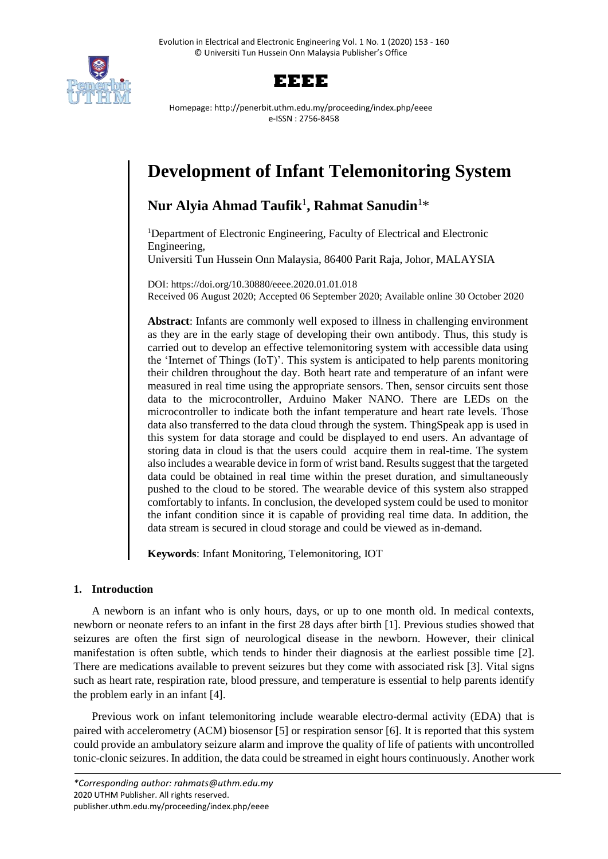



Homepage: http://penerbit.uthm.edu.my/proceeding/index.php/eeee e-ISSN : 2756-8458

# **Development of Infant Telemonitoring System**

# **Nur Alyia Ahmad Taufik**<sup>1</sup> **, Rahmat Sanudin**<sup>1</sup>\*

<sup>1</sup>Department of Electronic Engineering, Faculty of Electrical and Electronic Engineering, Universiti Tun Hussein Onn Malaysia, 86400 Parit Raja, Johor, MALAYSIA

DOI: https://doi.org/10.30880/eeee.2020.01.01.018 Received 06 August 2020; Accepted 06 September 2020; Available online 30 October 2020

**Abstract**: Infants are commonly well exposed to illness in challenging environment as they are in the early stage of developing their own antibody. Thus, this study is carried out to develop an effective telemonitoring system with accessible data using the 'Internet of Things (IoT)'. This system is anticipated to help parents monitoring their children throughout the day. Both heart rate and temperature of an infant were measured in real time using the appropriate sensors. Then, sensor circuits sent those data to the microcontroller, Arduino Maker NANO. There are LEDs on the microcontroller to indicate both the infant temperature and heart rate levels. Those data also transferred to the data cloud through the system. ThingSpeak app is used in this system for data storage and could be displayed to end users. An advantage of storing data in cloud is that the users could acquire them in real-time. The system also includes a wearable device in form of wrist band. Results suggest that the targeted data could be obtained in real time within the preset duration, and simultaneously pushed to the cloud to be stored. The wearable device of this system also strapped comfortably to infants. In conclusion, the developed system could be used to monitor the infant condition since it is capable of providing real time data. In addition, the data stream is secured in cloud storage and could be viewed as in-demand.

**Keywords**: Infant Monitoring, Telemonitoring, IOT

# **1. Introduction**

A newborn is an infant who is only hours, days, or up to one month old. In medical contexts, newborn or neonate refers to an infant in the first 28 days after birth [1]. Previous studies showed that seizures are often the first sign of neurological disease in the newborn. However, their clinical manifestation is often subtle, which tends to hinder their diagnosis at the earliest possible time [2]. There are medications available to prevent seizures but they come with associated risk [3]. Vital signs such as heart rate, respiration rate, blood pressure, and temperature is essential to help parents identify the problem early in an infant [4].

Previous work on infant telemonitoring include wearable electro-dermal activity (EDA) that is paired with accelerometry (ACM) biosensor [5] or respiration sensor [6]. It is reported that this system could provide an ambulatory seizure alarm and improve the quality of life of patients with uncontrolled tonic-clonic seizures. In addition, the data could be streamed in eight hours continuously. Another work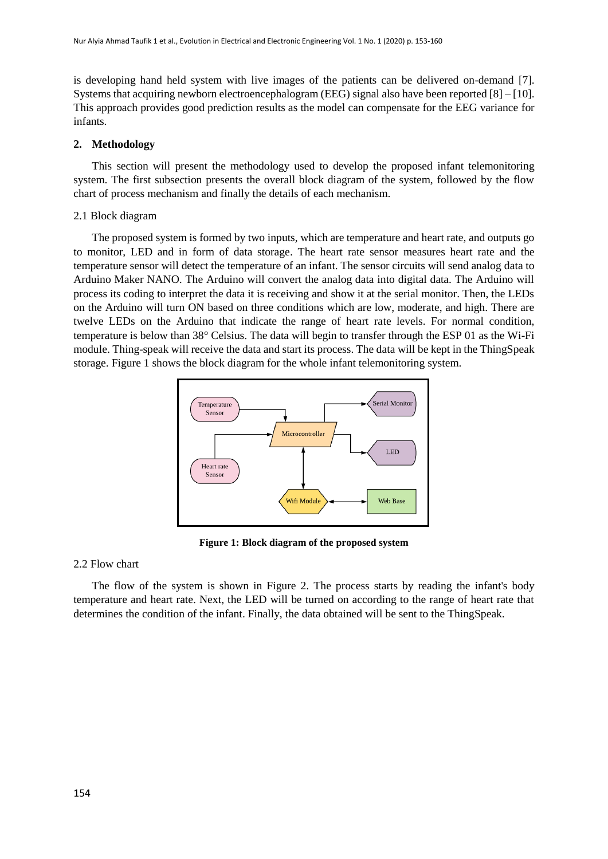is developing hand held system with live images of the patients can be delivered on-demand [7]. Systems that acquiring newborn electroencephalogram (EEG) signal also have been reported  $[8] - [10]$ . This approach provides good prediction results as the model can compensate for the EEG variance for infants.

# **2. Methodology**

This section will present the methodology used to develop the proposed infant telemonitoring system. The first subsection presents the overall block diagram of the system, followed by the flow chart of process mechanism and finally the details of each mechanism.

## 2.1 Block diagram

The proposed system is formed by two inputs, which are temperature and heart rate, and outputs go to monitor, LED and in form of data storage. The heart rate sensor measures heart rate and the temperature sensor will detect the temperature of an infant. The sensor circuits will send analog data to Arduino Maker NANO. The Arduino will convert the analog data into digital data. The Arduino will process its coding to interpret the data it is receiving and show it at the serial monitor. Then, the LEDs on the Arduino will turn ON based on three conditions which are low, moderate, and high. There are twelve LEDs on the Arduino that indicate the range of heart rate levels. For normal condition, temperature is below than 38° Celsius. The data will begin to transfer through the ESP 01 as the Wi-Fi module. Thing-speak will receive the data and start its process. The data will be kept in the ThingSpeak storage. Figure 1 shows the block diagram for the whole infant telemonitoring system.



**Figure 1: Block diagram of the proposed system**

#### 2.2 Flow chart

The flow of the system is shown in Figure 2. The process starts by reading the infant's body temperature and heart rate. Next, the LED will be turned on according to the range of heart rate that determines the condition of the infant. Finally, the data obtained will be sent to the ThingSpeak.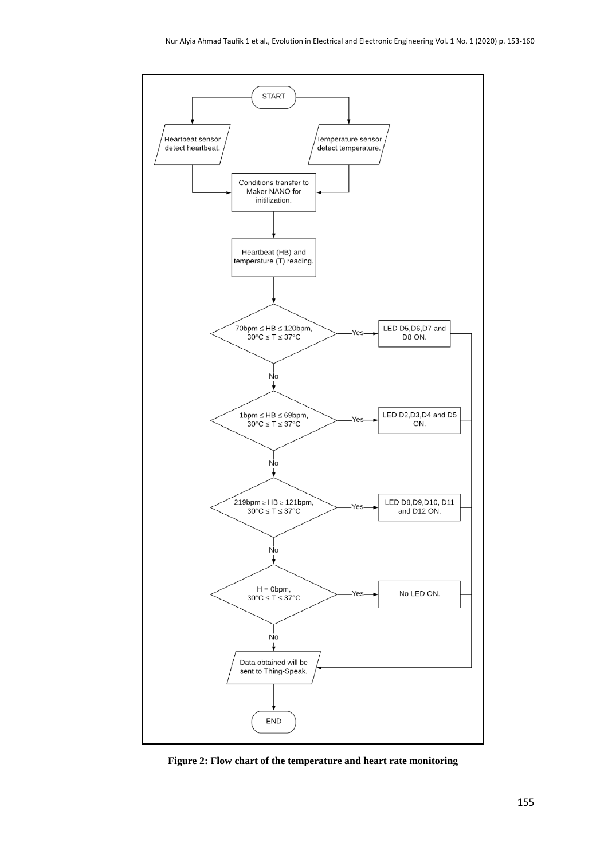

**Figure 2: Flow chart of the temperature and heart rate monitoring**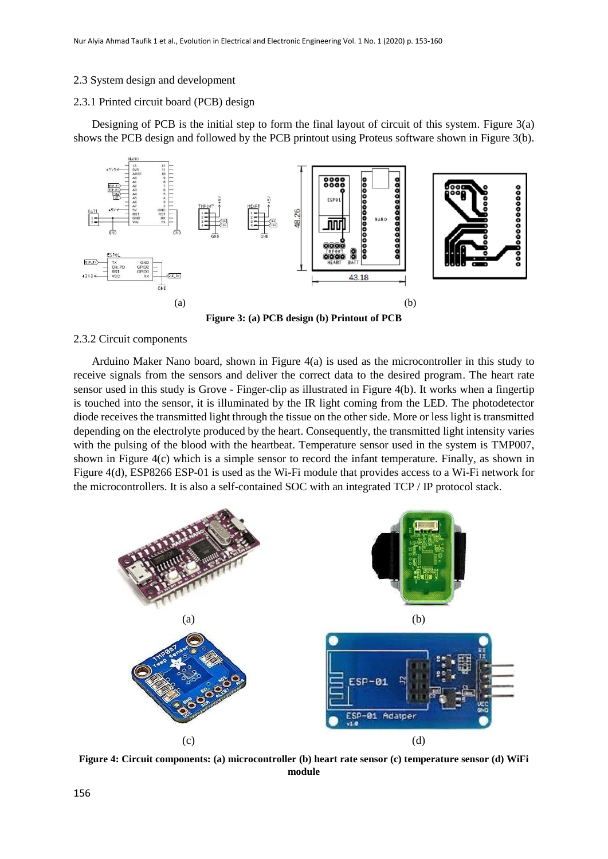#### 2.3 System design and development

#### 2.3.1 Printed circuit board (PCB) design

Designing of PCB is the initial step to form the final layout of circuit of this system. Figure 3(a) shows the PCB design and followed by the PCB printout using Proteus software shown in Figure 3(b).



**Figure 3: (a) PCB design (b) Printout of PCB**

#### 2.3.2 Circuit components

Arduino Maker Nano board, shown in Figure 4(a) is used as the microcontroller in this study to receive signals from the sensors and deliver the correct data to the desired program. The heart rate sensor used in this study is Grove - Finger-clip as illustrated in Figure 4(b). It works when a fingertip is touched into the sensor, it is illuminated by the IR light coming from the LED. The photodetector diode receives the transmitted light through the tissue on the other side. More or less light is transmitted depending on the electrolyte produced by the heart. Consequently, the transmitted light intensity varies with the pulsing of the blood with the heartbeat. Temperature sensor used in the system is TMP007, shown in Figure 4(c) which is a simple sensor to record the infant temperature. Finally, as shown in Figure 4(d), ESP8266 ESP-01 is used as the Wi-Fi module that provides access to a Wi-Fi network for the microcontrollers. It is also a self-contained SOC with an integrated TCP / IP protocol stack.



**Figure 4: Circuit components: (a) microcontroller (b) heart rate sensor (c) temperature sensor (d) WiFi module**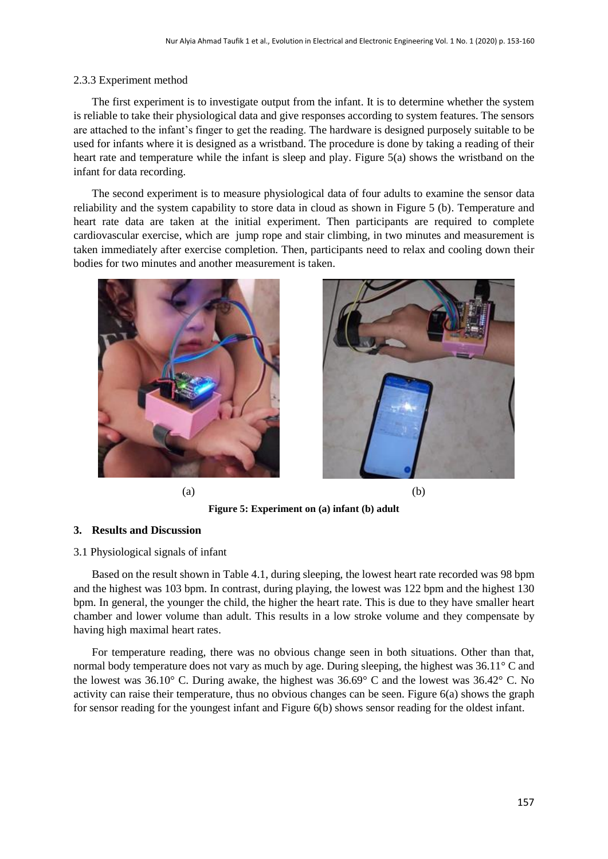# 2.3.3 Experiment method

The first experiment is to investigate output from the infant. It is to determine whether the system is reliable to take their physiological data and give responses according to system features. The sensors are attached to the infant's finger to get the reading. The hardware is designed purposely suitable to be used for infants where it is designed as a wristband. The procedure is done by taking a reading of their heart rate and temperature while the infant is sleep and play. Figure 5(a) shows the wristband on the infant for data recording.

The second experiment is to measure physiological data of four adults to examine the sensor data reliability and the system capability to store data in cloud as shown in Figure 5 (b). Temperature and heart rate data are taken at the initial experiment. Then participants are required to complete cardiovascular exercise, which are jump rope and stair climbing, in two minutes and measurement is taken immediately after exercise completion. Then, participants need to relax and cooling down their bodies for two minutes and another measurement is taken.



 $(a)$  (b)



**Figure 5: Experiment on (a) infant (b) adult**

# **3. Results and Discussion**

#### 3.1 Physiological signals of infant

Based on the result shown in Table 4.1, during sleeping, the lowest heart rate recorded was 98 bpm and the highest was 103 bpm. In contrast, during playing, the lowest was 122 bpm and the highest 130 bpm. In general, the younger the child, the higher the heart rate. This is due to they have smaller heart chamber and lower volume than adult. This results in a low stroke volume and they compensate by having high maximal heart rates.

For temperature reading, there was no obvious change seen in both situations. Other than that, normal body temperature does not vary as much by age. During sleeping, the highest was 36.11° C and the lowest was 36.10° C. During awake, the highest was 36.69° C and the lowest was 36.42° C. No activity can raise their temperature, thus no obvious changes can be seen. Figure 6(a) shows the graph for sensor reading for the youngest infant and Figure 6(b) shows sensor reading for the oldest infant.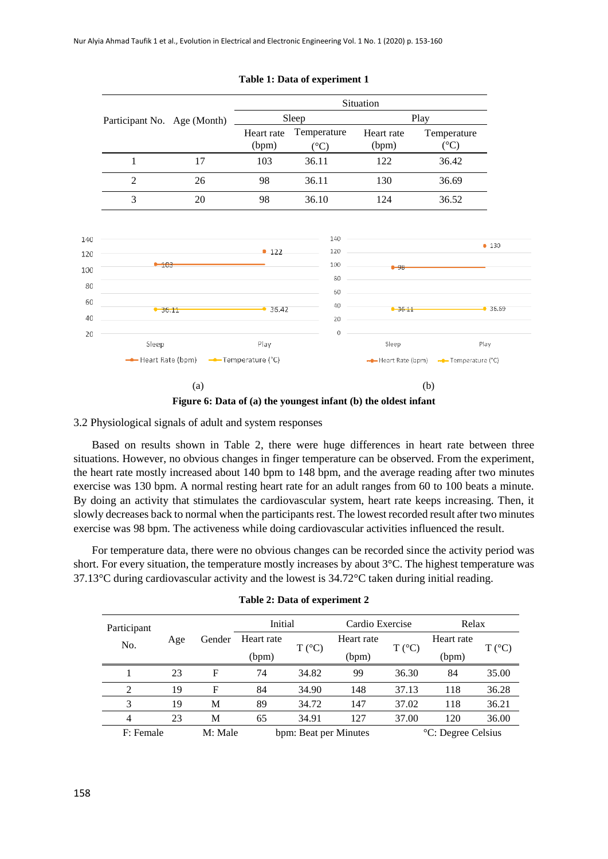|                             |                                         | Situation           |                                |                     |                                       |  |
|-----------------------------|-----------------------------------------|---------------------|--------------------------------|---------------------|---------------------------------------|--|
| Participant No. Age (Month) |                                         |                     | Sleep                          | Play                |                                       |  |
|                             |                                         | Heart rate<br>(bpm) | Temperature<br>$({}^{\circ}C)$ | Heart rate<br>(bpm) | Temperature<br>$({}^{\circ}C)$        |  |
| 1                           | 17                                      | 103                 | 36.11                          | 122                 | 36.42                                 |  |
| 2                           | 26                                      | 98                  | 36.11                          | 130                 | 36.69                                 |  |
| 3                           | 20                                      | 98                  | 36.10                          | 124                 | 36.52                                 |  |
|                             |                                         |                     | 140                            |                     | • 130                                 |  |
| $-103$                      |                                         | • 122               | 120<br>100<br>80               | $-98-$              |                                       |  |
|                             | $-36.11$                                |                     | 60<br>40<br>20                 |                     | $\bullet$ 36.11 $\bullet$ 36.69       |  |
| Sleep                       |                                         | Play                | $\theta$                       | Sleep               | Play                                  |  |
|                             | -- Heart Rate (bpm) -- Temperature (°C) |                     |                                |                     | - Heart Rate (bpm) - Temperature (°C) |  |
|                             | (a)                                     |                     |                                |                     | (b)                                   |  |

#### **Table 1: Data of experiment 1**



3.2 Physiological signals of adult and system responses

Based on results shown in Table 2, there were huge differences in heart rate between three situations. However, no obvious changes in finger temperature can be observed. From the experiment, the heart rate mostly increased about 140 bpm to 148 bpm, and the average reading after two minutes exercise was 130 bpm. A normal resting heart rate for an adult ranges from 60 to 100 beats a minute. By doing an activity that stimulates the cardiovascular system, heart rate keeps increasing. Then, it slowly decreases back to normal when the participants rest. The lowest recorded result after two minutes exercise was 98 bpm. The activeness while doing cardiovascular activities influenced the result.

For temperature data, there were no obvious changes can be recorded since the activity period was short. For every situation, the temperature mostly increases by about 3°C. The highest temperature was 37.13°C during cardiovascular activity and the lowest is 34.72°C taken during initial reading.

| Participant                                   |     |        | Initial                        |                 | Cardio Exercise |                 | Relax      |                 |
|-----------------------------------------------|-----|--------|--------------------------------|-----------------|-----------------|-----------------|------------|-----------------|
| No.                                           | Age | Gender | Heart rate                     | $T (^{\circ}C)$ | Heart rate      | $T (^{\circ}C)$ | Heart rate | $T (^{\circ}C)$ |
|                                               |     |        | (bpm)                          |                 | (bpm)           |                 | (bpm)      |                 |
|                                               | 23  | F      | 74                             | 34.82           | 99              | 36.30           | 84         | 35.00           |
| 2                                             | 19  | F      | 84                             | 34.90           | 148             | 37.13           | 118        | 36.28           |
| 3                                             | 19  | M      | 89                             | 34.72           | 147             | 37.02           | 118        | 36.21           |
| 4                                             | 23  | M      | 65                             | 34.91           | 127             | 37.00           | 120        | 36.00           |
| M: Male<br>F: Female<br>bpm: Beat per Minutes |     |        | <sup>o</sup> C: Degree Celsius |                 |                 |                 |            |                 |

| Table 2: Data of experiment 2 |  |  |  |  |  |  |
|-------------------------------|--|--|--|--|--|--|
|-------------------------------|--|--|--|--|--|--|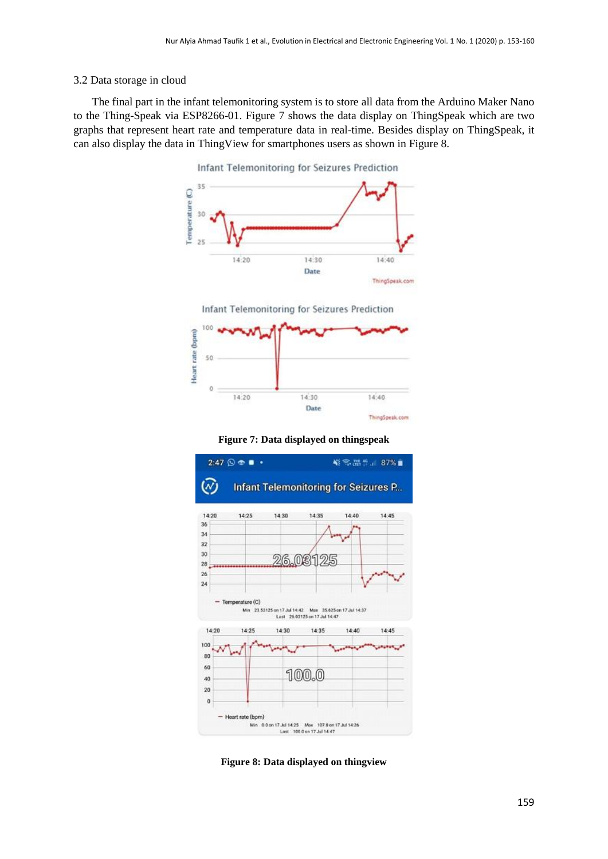# 3.2 Data storage in cloud

The final part in the infant telemonitoring system is to store all data from the Arduino Maker Nano to the Thing-Speak via ESP8266-01. Figure 7 shows the data display on ThingSpeak which are two graphs that represent heart rate and temperature data in real-time. Besides display on ThingSpeak, it can also display the data in ThingView for smartphones users as shown in Figure 8.



Infant Telemonitoring for Seizures Prediction



**Figure 7: Data displayed on thingspeak**



**Figure 8: Data displayed on thingview**